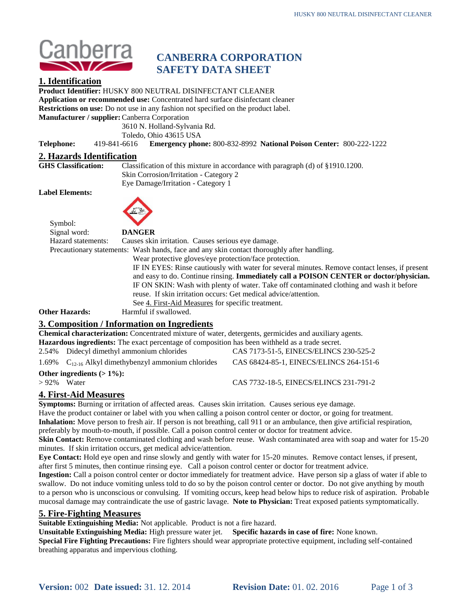

## **CANBERRA CORPORATION SAFETY DATA SHEET**

## **1. Identification**

**Product Identifier:** HUSKY 800 NEUTRAL DISINFECTANT CLEANER

**Application or recommended use:** Concentrated hard surface disinfectant cleaner

**Restrictions on use:** Do not use in any fashion not specified on the product label.

**Manufacturer / supplier:**Canberra Corporation

3610 N. Holland-Sylvania Rd.

Toledo, Ohio 43615 USA

**Telephone:** 419-841-6616 **Emergency phone:** 800-832-8992 **National Poison Center:** 800-222-1222

# **2. Hazards Identification**

Classification of this mixture in accordance with paragraph (d) of §1910.1200. Skin Corrosion/Irritation - Category 2 Eye Damage/Irritation - Category 1

**Label Elements:**



Symbol:

Signal word: **DANGER**

Hazard statements: Causes skin irritation. Causes serious eye damage.

Precautionary statements: Wash hands, face and any skin contact thoroughly after handling.

Wear protective gloves/eye protection/face protection. IF IN EYES: Rinse cautiously with water for several minutes. Remove contact lenses, if present and easy to do. Continue rinsing. **Immediately call a POISON CENTER or doctor/physician.** IF ON SKIN: Wash with plenty of water. Take off contaminated clothing and wash it before reuse. If skin irritation occurs: Get medical advice/attention. See 4. First-Aid Measures for specific treatment.

**Other Hazards:** Harmful if swallowed.

## **3. Composition / Information on Ingredients**

**Chemical characterization:** Concentrated mixture of water, detergents, germicides and auxiliary agents. **Hazardous ingredients:** The exact percentage of composition has been withheld as a trade secret.

2.54% Didecyl dimethyl ammonium chlorides CAS 7173-51-5, EINECS/ELINCS 230-525-2

1.69%  $C_{12-16}$  Alkyl dimethybenzyl ammonium chlorides CAS 68424-85-1, EINECS/ELINCS 264-151-6

**Other ingredients**  $(> 1\%)$ **:**<br> $> 92\%$  Water

CAS 7732-18-5, EINECS/ELINCS 231-791-2

## **4. First-Aid Measures**

**Symptoms:** Burning or irritation of affected areas. Causes skin irritation. Causes serious eye damage. Have the product container or label with you when calling a poison control center or doctor, or going for treatment. **Inhalation:** Move person to fresh air. If person is not breathing, call 911 or an ambulance, then give artificial respiration, preferably by mouth-to-mouth, if possible. Call a poison control center or doctor for treatment advice.

**Skin Contact:** Remove contaminated clothing and wash before reuse. Wash contaminated area with soap and water for 15-20 minutes. If skin irritation occurs, get medical advice/attention.

**Eye Contact:** Hold eye open and rinse slowly and gently with water for 15-20 minutes. Remove contact lenses, if present, after first 5 minutes, then continue rinsing eye. Call a poison control center or doctor for treatment advice.

**Ingestion:** Call a poison control center or doctor immediately for treatment advice. Have person sip a glass of water if able to swallow. Do not induce vomiting unless told to do so by the poison control center or doctor. Do not give anything by mouth to a person who is unconscious or convulsing. If vomiting occurs, keep head below hips to reduce risk of aspiration. Probable mucosal damage may contraindicate the use of gastric lavage. **Note to Physician:** Treat exposed patients symptomatically.

### **5. Fire-Fighting Measures**

**Suitable Extinguishing Media:** Not applicable. Product is not a fire hazard.

**Unsuitable Extinguishing Media:** High pressure water jet. **Specific hazards in case of fire:** None known. **Special Fire Fighting Precautions:** Fire fighters should wear appropriate protective equipment, including self-contained breathing apparatus and impervious clothing.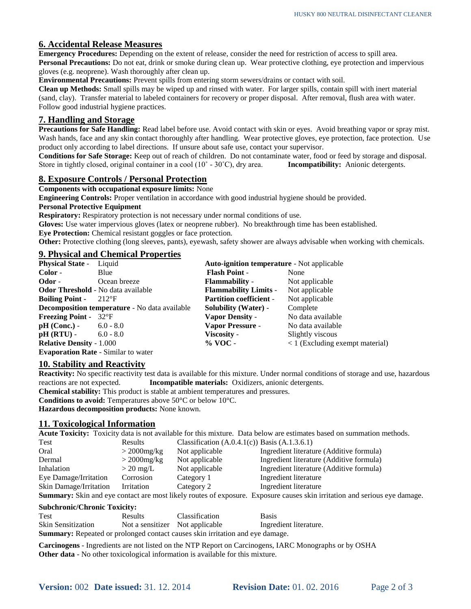#### **6. Accidental Release Measures**

**Emergency Procedures:** Depending on the extent of release, consider the need for restriction of access to spill area. **Personal Precautions:** Do not eat, drink or smoke during clean up. Wear protective clothing, eye protection and impervious gloves (e.g. neoprene). Wash thoroughly after clean up.

**Environmental Precautions:** Prevent spills from entering storm sewers/drains or contact with soil.

**Clean up Methods:** Small spills may be wiped up and rinsed with water. For larger spills, contain spill with inert material (sand, clay). Transfer material to labeled containers for recovery or proper disposal. After removal, flush area with water. Follow good industrial hygiene practices.

#### **7. Handling and Storage**

**Precautions for Safe Handling:** Read label before use. Avoid contact with skin or eyes. Avoid breathing vapor or spray mist. Wash hands, face and any skin contact thoroughly after handling. Wear protective gloves, eye protection, face protection. Use product only according to label directions. If unsure about safe use, contact your supervisor.

**Conditions for Safe Storage:** Keep out of reach of children. Do not contaminate water, food or feed by storage and disposal. Store in tightly closed, original container in a cool (10˚ - 30˚C), dry area. **Incompatibility:** Anionic detergents.

#### **8. Exposure Controls / Personal Protection**

#### **Components with occupational exposure limits:** None

**Engineering Controls:** Proper ventilation in accordance with good industrial hygiene should be provided.

#### **Personal Protective Equipment**

**Respiratory:** Respiratory protection is not necessary under normal conditions of use.

**Gloves:** Use water impervious gloves (latex or neoprene rubber). No breakthrough time has been established.

**Eye Protection:** Chemical resistant goggles or face protection.

**Other:** Protective clothing (long sleeves, pants), eyewash, safety shower are always advisable when working with chemicals.

#### **9. Physical and Chemical Properties**

| <b>Physical State -</b>                   | Liquid                                               | <b>Auto-ignition temperature - Not applicable</b> |                                   |
|-------------------------------------------|------------------------------------------------------|---------------------------------------------------|-----------------------------------|
| Color -                                   | Blue                                                 | <b>Flash Point -</b>                              | None                              |
| Odor -                                    | Ocean breeze                                         | <b>Flammability</b> -                             | Not applicable                    |
| <b>Odor Threshold</b> - No data available |                                                      | <b>Flammability Limits -</b>                      | Not applicable                    |
| <b>Boiling Point -</b> $212^{\circ}F$     |                                                      | <b>Partition coefficient -</b>                    | Not applicable                    |
|                                           | <b>Decomposition temperature - No data available</b> | <b>Solubility (Water)</b> -                       | Complete                          |
| <b>Freezing Point - 32°F</b>              |                                                      | <b>Vapor Density -</b>                            | No data available                 |
| $pH (Conc.) -$                            | $6.0 - 8.0$                                          | Vapor Pressure -                                  | No data available                 |
| $pH (RTU) -$                              | $6.0 - 8.0$                                          | Viscosity -                                       | Slightly viscous                  |
| <b>Relative Density - 1.000</b>           |                                                      | $%$ VOC -                                         | $<$ 1 (Excluding exempt material) |

**Evaporation Rate** - Similar to water

#### **10. Stability and Reactivity**

**Reactivity:** No specific reactivity test data is available for this mixture. Under normal conditions of storage and use, hazardous reactions are not expected. **Incompatible materials:** Oxidizers, anionic detergents.

**Chemical stability:** This product is stable at ambient temperatures and pressures.

**Conditions to avoid:** Temperatures above 50°C or below 10°C.

**Hazardous decomposition products:** None known.

#### **11. Toxicological Information**

**Acute Toxicity:** Toxicity data is not available for this mixture. Data below are estimates based on summation methods.

| Test                   | Results             | Classification $(A.0.4.1(c))$ Basis $(A.1.3.6.1)$ |                                                                                                                |
|------------------------|---------------------|---------------------------------------------------|----------------------------------------------------------------------------------------------------------------|
| Oral                   | $>$ 2000 $mg/kg$    | Not applicable                                    | Ingredient literature (Additive formula)                                                                       |
| Dermal                 | $>$ 2000 $mg/kg$    | Not applicable                                    | Ingredient literature (Additive formula)                                                                       |
| Inhalation             | $> 20 \text{ mg/L}$ | Not applicable                                    | Ingredient literature (Additive formula)                                                                       |
| Eye Damage/Irritation  | Corrosion           | Category 1                                        | Ingredient literature                                                                                          |
| Skin Damage/Irritation | Irritation          | Category 2                                        | Ingredient literature                                                                                          |
|                        |                     |                                                   | Summary Skin and ave contact are most likely reutes of expective. Expective causes skin irritation and serious |

**Summary:** Skin and eye contact are most likely routes of exposure. Exposure causes skin irritation and serious eye damage.

#### **Subchronic/Chronic Toxicity:**

| <b>Test</b>                                                                          | Results                         | <b>Classification</b> | <b>Basis</b>           |  |
|--------------------------------------------------------------------------------------|---------------------------------|-----------------------|------------------------|--|
| <b>Skin Sensitization</b>                                                            | Not a sensitizer Not applicable |                       | Ingredient literature. |  |
| <b>Summary:</b> Repeated or prolonged contact causes skin irritation and eye damage. |                                 |                       |                        |  |

**Carcinogens** - Ingredients are not listed on the NTP Report on Carcinogens, IARC Monographs or by OSHA **Other data** - No other toxicological information is available for this mixture.